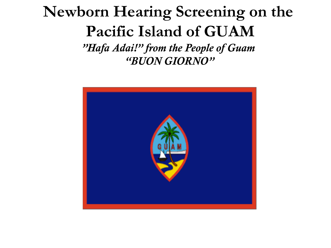### **Newborn Hearing Screening on the Pacific Island of GUAM** *"Hafa Adai!" from the People of Guam "BUON GIORNO"*

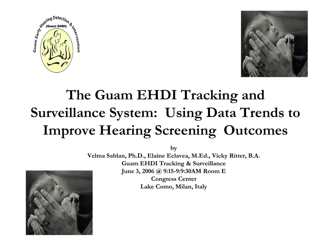



### **The Guam EHDI Tracking and Surveillance System: Using Data Trends to Improve Hearing Screening Outcomes**

**by** 

**Velma Sablan, Ph.D., Elaine Eclavea, M.Ed., Vicky Ritter, B.A. Guam EHDI Tracking & Surveillance June 3, 2006 @ 9:15-9:9:30AM Room E Congress Center**

**Lake Como, Milan, Italy**

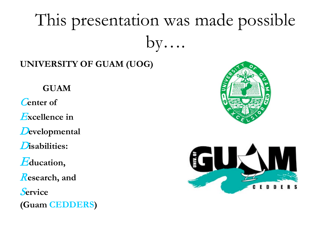# This presentation was made possible  $by...$

#### **UNIVERSITY OF GUAM (UOG)**

#### **GUAM**

C**enter of**

E**xcellence in**

D**evelopmental**

D**isabilities:** 

E**ducation,**

R**esearch, and** 

S**ervice** 

**(Guam CEDDERS)**



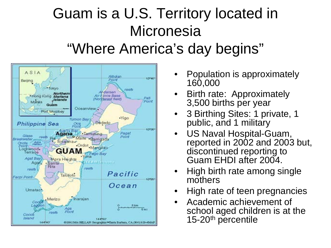### Guam is a U.S. Territory located in **Micronesia** "Where America's day begins"



- Population is approximately 160,000
- Birth rate: Approximately 3,500 births per year
- 3 Birthing Sites: 1 private, 1 public, and 1 military
- US Naval Hospital-Guam, reported in 2002 and 2003 but, discontinued reporting to Guam EHDI after 2004.
- High birth rate among single mothers
- High rate of teen pregnancies
- Academic achievement of school aged children is at the 15-20<sup>th</sup> percentile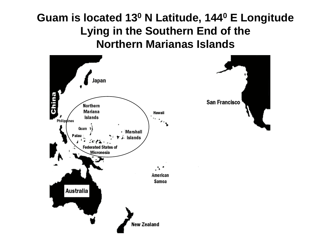#### **Guam is located 130 N Latitude, 1440 E Longitude Lying in the Southern End of the Northern Marianas Islands**



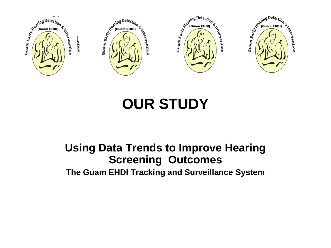

### **OUR STUDY**

#### **Using Data Trends to Improve Hearing Screening Outcomes The Guam EHDI Tracking and Surveillance System**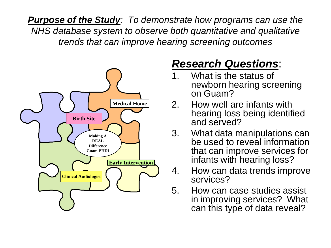*Purpose of the Study: To demonstrate how programs can use the NHS database system to observe both quantitative and qualitative trends that can improve hearing screening outcomes* 



#### *Research Questions*:

- 1. What is the status of newborn hearing screening on Guam?
- 2. How well are infants with hearing loss being identified and served?
- 3. What data manipulations can be used to reveal information that can improve services for infants with hearing loss?
- 4. How can data trends improve services?
- 5. How can case studies assist in improving services? What can this type of data reveal?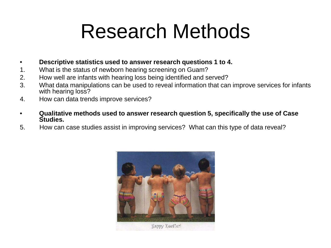# Research Methods

- **Descriptive statistics used to answer research questions 1 to 4.**
- 1. What is the status of newborn hearing screening on Guam?
- 2. How well are infants with hearing loss being identified and served?
- 3. What data manipulations can be used to reveal information that can improve services for infants with hearing loss?
- 4. How can data trends improve services?
- **Qualitative methods used to answer research question 5, specifically the use of Case Studies.**
- 5. How can case studies assist in improving services? What can this type of data reveal?

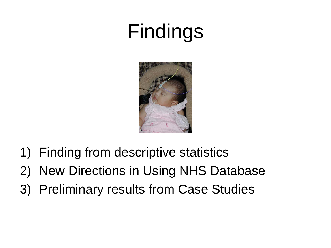# Findings



- 1) Finding from descriptive statistics
- 2) New Directions in Using NHS Database
- 3) Preliminary results from Case Studies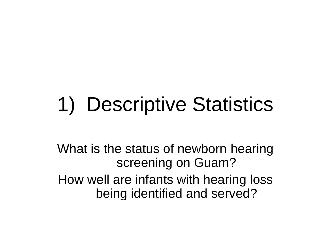# 1) Descriptive Statistics

What is the status of newborn hearing screening on Guam? How well are infants with hearing loss being identified and served?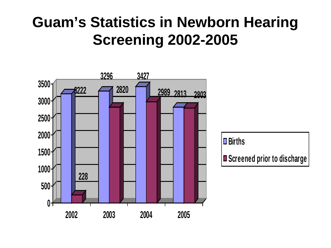### **Guam's Statistics in Newborn Hearing Screening 2002-2005**



**Births**

■ Screened prior to discharge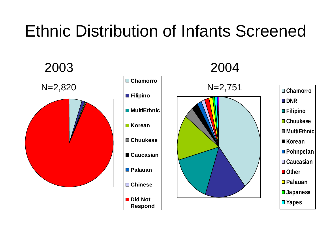### Ethnic Distribution of Infants Screened

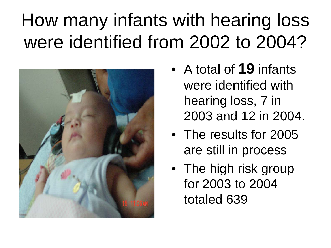# How many infants with hearing loss were identified from 2002 to 2004?



- A total of **19** infants were identified with hearing loss, 7 in 2003 and 12 in 2004.
- The results for 2005 are still in process
- The high risk group for 2003 to 2004 totaled 639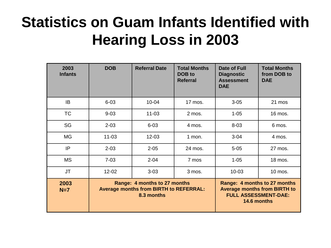### **Statistics on Guam Infants Identified with Hearing Loss in 2003**

| 2003<br><b>Infants</b> | <b>DOB</b>                                                                                  | <b>Referral Date</b> | <b>Total Months</b><br>DOB to<br><b>Referral</b> | Date of Full<br><b>Diagnostic</b><br><b>Assessment</b><br><b>DAE</b> | <b>Total Months</b><br>from DOB to<br><b>DAE</b>                                                                  |
|------------------------|---------------------------------------------------------------------------------------------|----------------------|--------------------------------------------------|----------------------------------------------------------------------|-------------------------------------------------------------------------------------------------------------------|
| IB                     | $6 - 03$                                                                                    | $10 - 04$            | 17 mos.                                          | $3 - 05$                                                             | 21 mos                                                                                                            |
| <b>TC</b>              | $9 - 03$                                                                                    | $11 - 03$            | 2 mos.                                           | $1 - 05$                                                             | 16 mos.                                                                                                           |
| SG                     | $2 - 03$                                                                                    | $6 - 03$             | 4 mos.                                           | $8 - 03$                                                             | 6 mos.                                                                                                            |
| <b>MG</b>              | $11 - 03$                                                                                   | $12 - 03$            | 1 mon.                                           | $3 - 04$                                                             | 4 mos.                                                                                                            |
| IP                     | $2 - 03$                                                                                    | $2 - 05$             | 24 mos.                                          | $5 - 05$                                                             | 27 mos.                                                                                                           |
| <b>MS</b>              | $7 - 03$                                                                                    | $2 - 04$             | 7 mos                                            | $1 - 05$                                                             | 18 mos.                                                                                                           |
| <b>JT</b>              | $12 - 02$                                                                                   | $3 - 03$             | 3 mos.                                           | $10 - 03$                                                            | 10 mos.                                                                                                           |
| 2003<br>$N=7$          | Range: 4 months to 27 months<br><b>Average months from BIRTH to REFERRAL:</b><br>8.3 months |                      |                                                  |                                                                      | Range: 4 months to 27 months<br><b>Average months from BIRTH to</b><br><b>FULL ASSESSMENT-DAE:</b><br>14.6 months |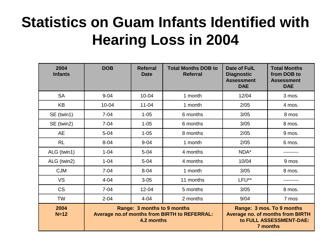### **Statistics on Guam Infants Identified with Hearing Loss in 2004**

| 2004<br><b>Infants</b> | <b>DOB</b>                                                                                | <b>Referral</b><br><b>Date</b> | <b>Total Months DOB to</b><br><b>Referral</b> | Date of FulL<br><b>Diagnostic</b><br><b>Assessment</b><br><b>DAE</b> | <b>Total Months</b><br>from DOB to<br><b>Assessment</b><br><b>DAE</b>                                       |
|------------------------|-------------------------------------------------------------------------------------------|--------------------------------|-----------------------------------------------|----------------------------------------------------------------------|-------------------------------------------------------------------------------------------------------------|
| <b>SA</b>              | $9 - 04$                                                                                  | $10 - 04$                      | 1 month                                       | 12/04                                                                | 3 mos.                                                                                                      |
| <b>KB</b>              | $10 - 04$                                                                                 | $11 - 04$                      | 1 month                                       | 2/05                                                                 | 4 mos.                                                                                                      |
| SE (twin1)             | $7 - 04$                                                                                  | $1 - 05$                       | 6 months                                      | 3/05                                                                 | 8 mos                                                                                                       |
| SE (twin2)             | $7 - 04$                                                                                  | $1 - 05$                       | 6 months                                      | 3/05                                                                 | 8 mos.                                                                                                      |
| <b>AE</b>              | $5 - 04$                                                                                  | $1 - 05$                       | 8 months                                      | 2/05                                                                 | 9 mos.                                                                                                      |
| <b>RL</b>              | $8 - 04$                                                                                  | $9 - 04$                       | 1 month                                       | 2/05                                                                 | 6 mos.                                                                                                      |
| ALG (twin1)            | $1 - 04$                                                                                  | $5 - 04$                       | 4 months                                      | NDA*                                                                 |                                                                                                             |
| ALG (twin2)            | $1 - 04$                                                                                  | $5 - 04$                       | 4 months                                      | 10/04                                                                | 9 mos                                                                                                       |
| <b>CJM</b>             | $7 - 04$                                                                                  | $8 - 04$                       | 1 month                                       | 3/05                                                                 | 8 mos.                                                                                                      |
| <b>VS</b>              | $4 - 04$                                                                                  | $3 - 05$                       | 11 months                                     | LFU**                                                                |                                                                                                             |
| <b>CS</b>              | $7 - 04$                                                                                  | $12 - 04$                      | 5 months                                      | 3/05                                                                 | 8 mos.                                                                                                      |
| <b>TW</b>              | $2 - 04$                                                                                  | $4 - 04$                       | 2 months                                      | 9/04                                                                 | 7 mos                                                                                                       |
| 2004<br>$N=12$         | Range: 3 months to 9 months<br>Average no.of months from BIRTH to REFERRAL:<br>4.2 months |                                |                                               |                                                                      | Range: 3 mos. To 9 months<br><b>Average no. of months from BIRTH</b><br>to FULL ASSESSMENT-DAE:<br>7 months |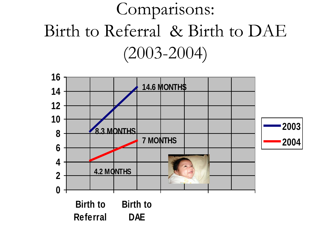## Comparisons: Birth to Referral & Birth to DAE (2003-2004)

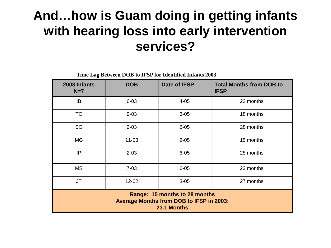#### **And…how is Guam doing in getting infants with hearing loss into early intervention services?**

**Time Lag Between DOB to IFSP for Identified Infants 2003**

| 2003 Infants<br>$N=7$                                                                    | <b>DOB</b> | Date of IFSP | <b>Total Months from DOB to</b><br><b>IFSP</b> |  |  |
|------------------------------------------------------------------------------------------|------------|--------------|------------------------------------------------|--|--|
| IB                                                                                       | $6 - 03$   | $4 - 05$     | 23 months                                      |  |  |
| <b>TC</b>                                                                                | $9 - 03$   | $3 - 05$     | 18 months                                      |  |  |
| SG                                                                                       | $2 - 03$   | $6 - 05$     | 28 months                                      |  |  |
| <b>MG</b>                                                                                | $11 - 03$  | $2 - 05$     | 15 months                                      |  |  |
| IP                                                                                       | $2 - 03$   | $6 - 05$     | 28 months                                      |  |  |
| <b>MS</b>                                                                                | $7 - 03$   | $6 - 05$     | 23 months                                      |  |  |
| <b>JT</b>                                                                                | 12-02      | $3 - 05$     | 27 months                                      |  |  |
| Range: 15 months to 28 months<br>Average Months from DOB to IFSP in 2003:<br>23.1 Months |            |              |                                                |  |  |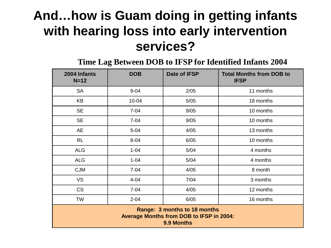#### **And…how is Guam doing in getting infants with hearing loss into early intervention services?**

**Time Lag Between DOB to IFSP for Identified Infants 2004**

| 2004 Infants<br>$N=12$                                                                        | <b>DOB</b> | Date of IFSP | <b>Total Months from DOB to</b><br><b>IFSP</b> |  |  |  |
|-----------------------------------------------------------------------------------------------|------------|--------------|------------------------------------------------|--|--|--|
| <b>SA</b>                                                                                     | $9 - 04$   | 2/05         | 11 months                                      |  |  |  |
| <b>KB</b>                                                                                     | $10 - 04$  | 5/05         | 18 months                                      |  |  |  |
| <b>SE</b>                                                                                     | $7 - 04$   | 9/05         | 10 months                                      |  |  |  |
| <b>SE</b>                                                                                     | $7 - 04$   | 9/05         | 10 months                                      |  |  |  |
| AE                                                                                            | $5 - 04$   | 4/05         | 13 months                                      |  |  |  |
| <b>RL</b>                                                                                     | $8 - 04$   | 6/05         | 10 months                                      |  |  |  |
| <b>ALG</b>                                                                                    | $1 - 04$   | 5/04         | 4 months                                       |  |  |  |
| <b>ALG</b>                                                                                    | $1 - 04$   | 5/04         | 4 months                                       |  |  |  |
| <b>CJM</b>                                                                                    | $7 - 04$   | 4/05         | 8 month                                        |  |  |  |
| <b>VS</b>                                                                                     | $4 - 04$   | 7/04         | 3 months                                       |  |  |  |
| <b>CS</b>                                                                                     | $7 - 04$   | 4/05         | 12 months                                      |  |  |  |
| <b>TW</b>                                                                                     | $2 - 04$   | 6/05         | 16 months                                      |  |  |  |
| Range: 3 months to 18 months<br><b>Average Months from DOB to IFSP in 2004:</b><br>9.9 Months |            |              |                                                |  |  |  |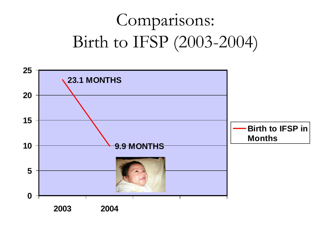## Comparisons: Birth to IFSP (2003-2004)

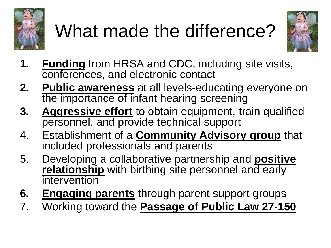

# What made the difference?



- **1. Funding** from HRSA and CDC, including site visits, conferences, and electronic contact
- **2. Public awareness** at all levels-educating everyone on the importance of infant hearing screening
- **3. Aggressive effort** to obtain equipment, train qualified personnel, and provide technical support
- 4. Establishment of a **Community Advisory group** that included professionals and parents
- 5. Developing a collaborative partnership and **positive relationship** with birthing site personnel and early intervention
- **6. Engaging parents** through parent support groups
- 7. Working toward the **Passage of Public Law 27-150**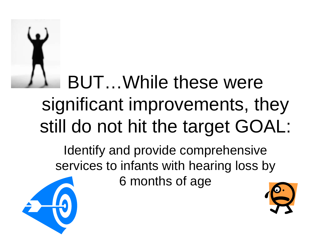

# BUT…While these were significant improvements, they still do not hit the target GOAL:

Identify and provide comprehensive services to infants with hearing loss by

6 months of age



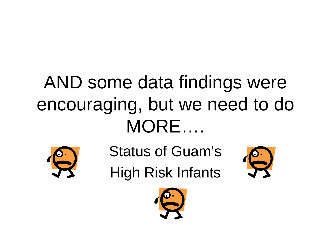# AND some data findings were encouraging, but we need to do MORE….



Status of Guam's

High Risk Infants



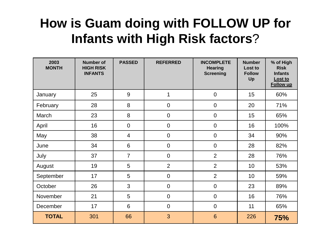#### **How is Guam doing with FOLLOW UP for Infants with High Risk factors**?

| 2003<br><b>MONTH</b> | <b>Number of</b><br><b>HIGH RISK</b><br><b>INFANTS</b> | <b>PASSED</b>   | <b>REFERRED</b> | <b>INCOMPLETE</b><br><b>Hearing</b><br><b>Screening</b> | <b>Number</b><br>Lost to<br><b>Follow</b><br>Up | % of High<br><b>Risk</b><br><b>Infants</b><br>Lost to<br><b>Follow up</b> |
|----------------------|--------------------------------------------------------|-----------------|-----------------|---------------------------------------------------------|-------------------------------------------------|---------------------------------------------------------------------------|
| January              | 25                                                     | 9               | 1               | $\mathbf 0$                                             | 15                                              | 60%                                                                       |
| February             | 28                                                     | 8               | $\mathbf 0$     | $\mathbf 0$                                             | 20                                              | 71%                                                                       |
| March                | 23                                                     | 8               | $\mathbf 0$     | $\mathbf 0$                                             | 15                                              | 65%                                                                       |
| April                | 16                                                     | $\mathbf 0$     | $\mathbf 0$     | $\boldsymbol{0}$                                        | 16                                              | 100%                                                                      |
| May                  | 38                                                     | $\overline{4}$  | $\mathbf 0$     | $\mathbf 0$                                             | 34                                              | 90%                                                                       |
| June                 | 34                                                     | 6               | $\mathbf 0$     | $\mathbf 0$                                             | 28                                              | 82%                                                                       |
| July                 | 37                                                     | $\overline{7}$  | $\mathbf 0$     | $\overline{2}$                                          | 28                                              | 76%                                                                       |
| August               | 19                                                     | 5               | $\overline{2}$  | $\overline{2}$                                          | 10                                              | 53%                                                                       |
| September            | 17                                                     | $5\phantom{.0}$ | $\mathbf 0$     | $\overline{2}$                                          | 10                                              | 59%                                                                       |
| October              | 26                                                     | 3               | $\mathbf 0$     | $\mathbf 0$                                             | 23                                              | 89%                                                                       |
| November             | 21                                                     | 5               | $\mathbf 0$     | $\mathbf 0$                                             | 16                                              | 76%                                                                       |
| December             | 17                                                     | 6               | $\mathbf 0$     | $\boldsymbol{0}$                                        | 11                                              | 65%                                                                       |
| <b>TOTAL</b>         | 301                                                    | 66              | 3               | $6\phantom{1}6$                                         | 226                                             | 75%                                                                       |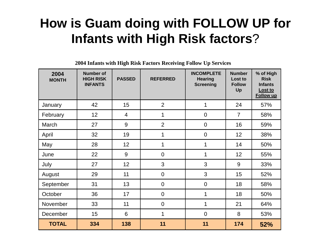#### **How is Guam doing with FOLLOW UP for Infants with High Risk factors**?

**2004 Infants with High Risk Factors Receiving Follow Up Services**

| 2004<br><b>MONTH</b> | <b>Number of</b><br><b>HIGH RISK</b><br><b>INFANTS</b> | <b>PASSED</b>   | <b>REFERRED</b> | <b>INCOMPLETE</b><br><b>Hearing</b><br><b>Screening</b> | <b>Number</b><br>Lost to<br><b>Follow</b><br>Up | % of High<br><b>Risk</b><br><b>Infants</b><br>Lost to<br><b>Follow up</b> |
|----------------------|--------------------------------------------------------|-----------------|-----------------|---------------------------------------------------------|-------------------------------------------------|---------------------------------------------------------------------------|
| January              | 42                                                     | 15              | $\overline{2}$  | 1                                                       | 24                                              | 57%                                                                       |
| February             | 12                                                     | $\overline{4}$  | 1               | $\mathbf 0$                                             | $\overline{7}$                                  | 58%                                                                       |
| March                | 27                                                     | 9               | $\overline{2}$  | $\mathbf 0$                                             | 16                                              | 59%                                                                       |
| April                | 32                                                     | 19              | 1               | $\mathbf 0$                                             | 12                                              | 38%                                                                       |
| May                  | 28                                                     | 12              | 1               | 1                                                       | 14                                              | 50%                                                                       |
| June                 | 22                                                     | 9               | $\overline{0}$  | 1                                                       | 12                                              | 55%                                                                       |
| July                 | 27                                                     | 12 <sub>2</sub> | 3               | 3                                                       | 9                                               | 33%                                                                       |
| August               | 29                                                     | 11              | $\overline{0}$  | 3                                                       | 15                                              | 52%                                                                       |
| September            | 31                                                     | 13              | $\overline{0}$  | $\mathbf 0$                                             | 18                                              | 58%                                                                       |
| October              | 36                                                     | 17              | $\mathbf 0$     | 1                                                       | 18                                              | 50%                                                                       |
| November             | 33                                                     | 11              | $\mathbf 0$     | 1                                                       | 21                                              | 64%                                                                       |
| December             | 15                                                     | 6               | 1               | $\overline{0}$                                          | 8                                               | 53%                                                                       |
| <b>TOTAL</b>         | 334                                                    | 138             | 11              | 11                                                      | 174                                             | 52%                                                                       |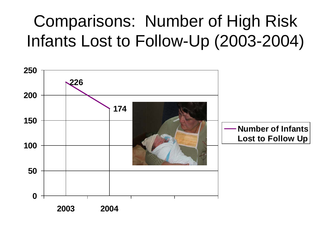### Comparisons: Number of High Risk Infants Lost to Follow-Up (2003-2004)

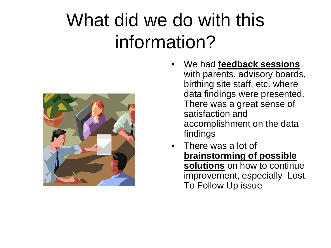# What did we do with this information?



- We had **feedback sessions** with parents, advisory boards, birthing site staff, etc. where data findings were presented. There was a great sense of satisfaction and accomplishment on the data findings
- There was a lot of **brainstorming of possible solutions** on how to continue improvement, especially Lost To Follow Up issue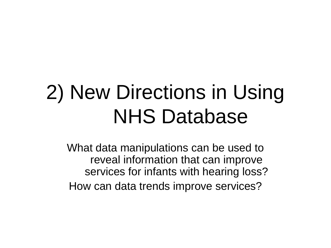# 2) New Directions in Using NHS Database

What data manipulations can be used to reveal information that can improve services for infants with hearing loss? How can data trends improve services?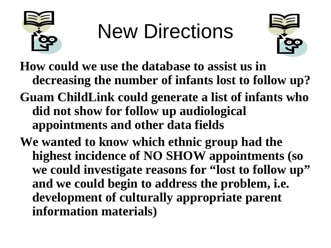

# New Directions



**How could we use the database to assist us in decreasing the number of infants lost to follow up? Guam ChildLink could generate a list of infants who did not show for follow up audiological** 

**appointments and other data fields** 

**We wanted to know which ethnic group had the highest incidence of NO SHOW appointments (so we could investigate reasons for "lost to follow up" and we could begin to address the problem, i.e. development of culturally appropriate parent information materials)**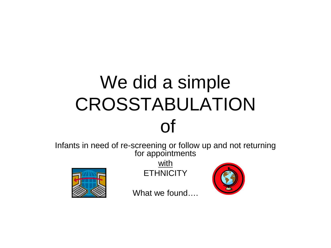## We did a simple CROSSTABULATION of

Infants in need of re-screening or follow up and not returning for appointments



with **ETHNICITY** 



What we found....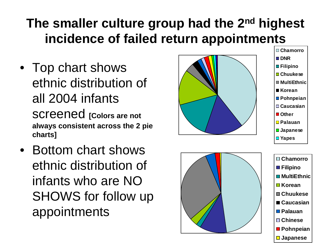### **The smaller culture group had the 2nd highest incidence of failed return appointments**

- Top chart shows ethnic distribution of all 2004 infants screened **[Colors are not always consistent across the 2 pie charts]**
- Bottom chart shows ethnic distribution of infants who are NO SHOWS for follow up appointments





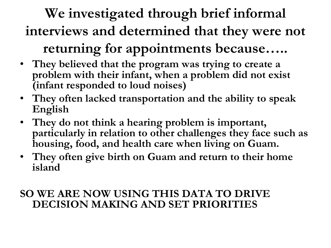### **We investigated through brief informal interviews and determined that they were not**

#### **returning for appointments because…..**

- **They believed that the program was trying to create a problem with their infant, when a problem did not exist (infant responded to loud noises)**
- **They often lacked transportation and the ability to speak English**
- **They do not think a hearing problem is important, particularly in relation to other challenges they face such as housing, food, and health care when living on Guam.**
- **They often give birth on Guam and return to their home island**

#### **SO WE ARE NOW USING THIS DATA TO DRIVE DECISION MAKING AND SET PRIORITIES**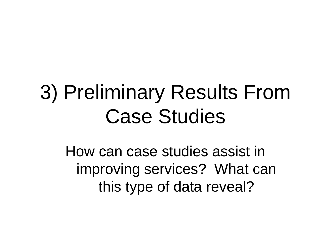# 3) Preliminary Results From Case Studies

How can case studies assist in improving services? What can this type of data reveal?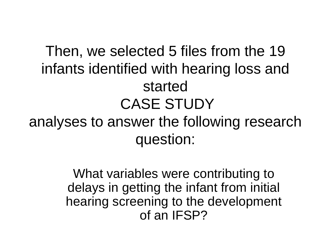### Then, we selected 5 files from the 19 infants identified with hearing loss and started CASE STUDY analyses to answer the following research question:

What variables were contributing to delays in getting the infant from initial hearing screening to the development of an IFSP?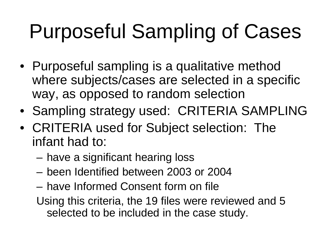# Purposeful Sampling of Cases

- Purposeful sampling is a qualitative method where subjects/cases are selected in a specific way, as opposed to random selection
- Sampling strategy used: CRITERIA SAMPLING
- CRITERIA used for Subject selection: The infant had to:
	- have a significant hearing loss
	- been Identified between 2003 or 2004
	- have Informed Consent form on file
	- Using this criteria, the 19 files were reviewed and 5 selected to be included in the case study.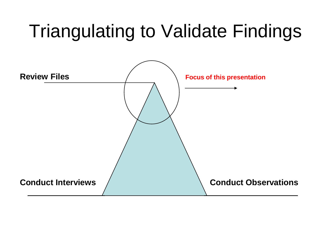## Triangulating to Validate Findings

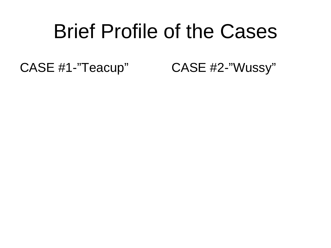# Brief Profile of the Cases

CASE #1-"Teacup" CASE #2-"Wussy"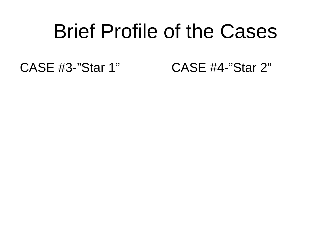## Brief Profile of the Cases

CASE #3-"Star 1" CASE #4-"Star 2"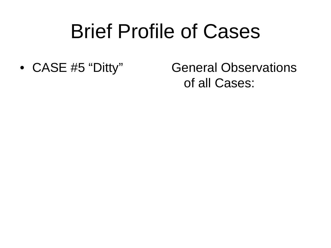# Brief Profile of Cases

• CASE #5 "Ditty" General Observations of all Cases: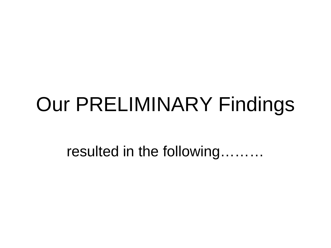# Our PRELIMINARY Findings

resulted in the following………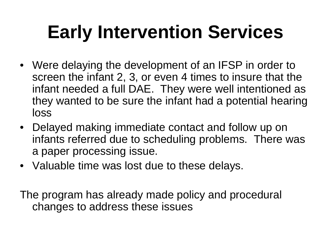# **Early Intervention Services**

- Were delaying the development of an IFSP in order to screen the infant 2, 3, or even 4 times to insure that the infant needed a full DAE. They were well intentioned as they wanted to be sure the infant had a potential hearing loss
- Delayed making immediate contact and follow up on infants referred due to scheduling problems. There was a paper processing issue.
- Valuable time was lost due to these delays.

The program has already made policy and procedural changes to address these issues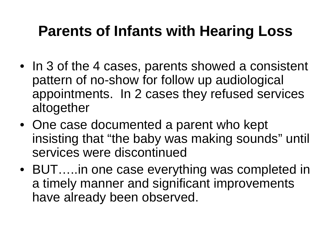### **Parents of Infants with Hearing Loss**

- In 3 of the 4 cases, parents showed a consistent pattern of no-show for follow up audiological appointments. In 2 cases they refused services altogether
- One case documented a parent who kept insisting that "the baby was making sounds" until services were discontinued
- BUT…..in one case everything was completed in a timely manner and significant improvements have already been observed.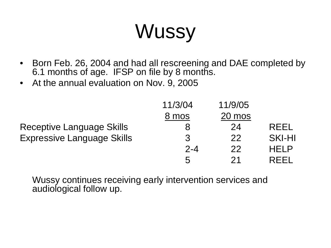# **Wussy**

- Born Feb. 26, 2004 and had all rescreening and DAE completed by 6.1 months of age. IFSP on file by 8 months.
- At the annual evaluation on Nov. 9, 2005

|                                   | 11/3/04 | 11/9/05 |               |
|-----------------------------------|---------|---------|---------------|
|                                   | 8 mos   | 20 mos  |               |
| <b>Receptive Language Skills</b>  |         | 24      | REEL          |
| <b>Expressive Language Skills</b> | 3       | 22      | <b>SKI-HI</b> |
|                                   | $2 - 4$ | 22      | HFI P         |
|                                   | 5       | 21      | REEL          |

Wussy continues receiving early intervention services and audiological follow up.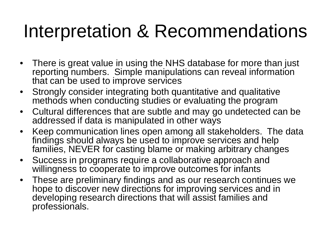## Interpretation & Recommendations

- There is great value in using the NHS database for more than just reporting numbers. Simple manipulations can reveal information that can be used to improve services
- Strongly consider integrating both quantitative and qualitative methods when conducting studies or evaluating the program
- Cultural differences that are subtle and may go undetected can be addressed if data is manipulated in other ways
- Keep communication lines open among all stakeholders. The data findings should always be used to improve services and help families, NEVER for casting blame or making arbitrary changes
- Success in programs require a collaborative approach and willingness to cooperate to improve outcomes for infants
- These are preliminary findings and as our research continues we hope to discover new directions for improving services and in developing research directions that will assist families and professionals.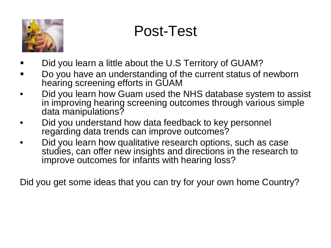

### Post-Test

- Did you learn a little about the U.S Territory of GUAM?
- Do you have an understanding of the current status of newborn hearing screening efforts in GUAM
- Did you learn how Guam used the NHS database system to assist in improving hearing screening outcomes through various simple data manipulations?
- Did you understand how data feedback to key personnel regarding data trends can improve outcomes?
- Did you learn how qualitative research options, such as case studies, can offer new insights and directions in the research to improve outcomes for infants with hearing loss?

Did you get some ideas that you can try for your own home Country?